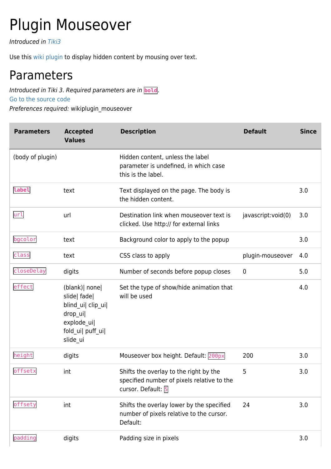## Plugin Mouseover

Introduced in [Tiki3](https://doc.tiki.org/Tiki3)

Use this [wiki plugin](https://doc.tiki.org/wiki%20plugin) to display hidden content by mousing over text.

## Parameters

Introduced in Tiki 3. Required parameters are in **bold**. [Go to the source code](https://gitlab.com/tikiwiki/tiki/-/blob/master/lib/wiki-plugins/wikiplugin_mouseover.php)

Preferences required: wikiplugin\_mouseover

| <b>Parameters</b> | <b>Accepted</b><br><b>Values</b>                                                                                   | <b>Description</b>                                                                                         | <b>Default</b>     | <b>Since</b> |
|-------------------|--------------------------------------------------------------------------------------------------------------------|------------------------------------------------------------------------------------------------------------|--------------------|--------------|
| (body of plugin)  |                                                                                                                    | Hidden content, unless the label<br>parameter is undefined, in which case<br>this is the label.            |                    |              |
| label             | text                                                                                                               | Text displayed on the page. The body is<br>the hidden content.                                             |                    | 3.0          |
| url               | url                                                                                                                | Destination link when mouseover text is<br>clicked. Use http:// for external links                         | javascript:void(0) | 3.0          |
| bgcolor           | text                                                                                                               | Background color to apply to the popup                                                                     |                    | 3.0          |
| class             | text                                                                                                               | CSS class to apply                                                                                         | plugin-mouseover   | 4.0          |
| closeDelay        | digits                                                                                                             | Number of seconds before popup closes                                                                      | $\mathbf 0$        | 5.0          |
| effect            | (blank)   none  <br>slide  fade <br>blind_ui  clip_ui <br>drop_ui <br>explode_ui <br>fold_ui  puff_ui <br>slide_ui | Set the type of show/hide animation that<br>will be used                                                   |                    | 4.0          |
| height            | digits                                                                                                             | Mouseover box height. Default: 200px                                                                       | 200                | 3.0          |
| offsetx           | int                                                                                                                | Shifts the overlay to the right by the<br>specified number of pixels relative to the<br>cursor. Default: 5 | 5                  | 3.0          |
| offsety           | int                                                                                                                | Shifts the overlay lower by the specified<br>number of pixels relative to the cursor.<br>Default:          | 24                 | 3.0          |
| padding           | digits                                                                                                             | Padding size in pixels                                                                                     |                    | 3.0          |